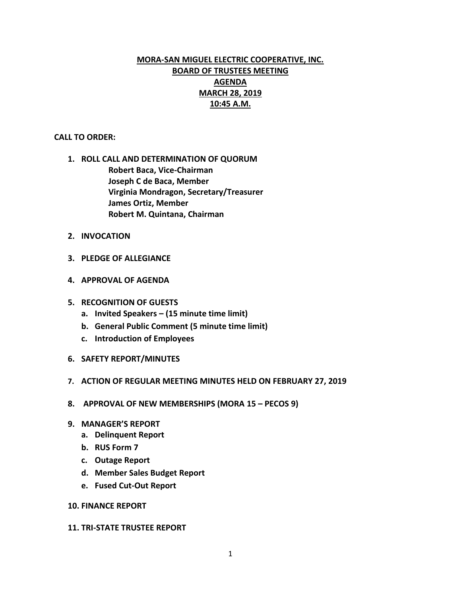# **MORA-SAN MIGUEL ELECTRIC COOPERATIVE, INC. BOARD OF TRUSTEES MEETING AGENDA MARCH 28, 2019 10:45 A.M.**

#### **CALL TO ORDER:**

- **1. ROLL CALL AND DETERMINATION OF QUORUM Robert Baca, Vice-Chairman Joseph C de Baca, Member Virginia Mondragon, Secretary/Treasurer James Ortiz, Member Robert M. Quintana, Chairman**
- **2. INVOCATION**
- **3. PLEDGE OF ALLEGIANCE**
- **4. APPROVAL OF AGENDA**
- **5. RECOGNITION OF GUESTS**
	- **a. Invited Speakers – (15 minute time limit)**
	- **b. General Public Comment (5 minute time limit)**
	- **c. Introduction of Employees**
- **6. SAFETY REPORT/MINUTES**
- **7. ACTION OF REGULAR MEETING MINUTES HELD ON FEBRUARY 27, 2019**
- **8. APPROVAL OF NEW MEMBERSHIPS (MORA 15 – PECOS 9)**
- **9. MANAGER'S REPORT**
	- **a. Delinquent Report**
	- **b. RUS Form 7**
	- **c. Outage Report**
	- **d. Member Sales Budget Report**
	- **e. Fused Cut-Out Report**

#### **10. FINANCE REPORT**

#### **11. TRI-STATE TRUSTEE REPORT**